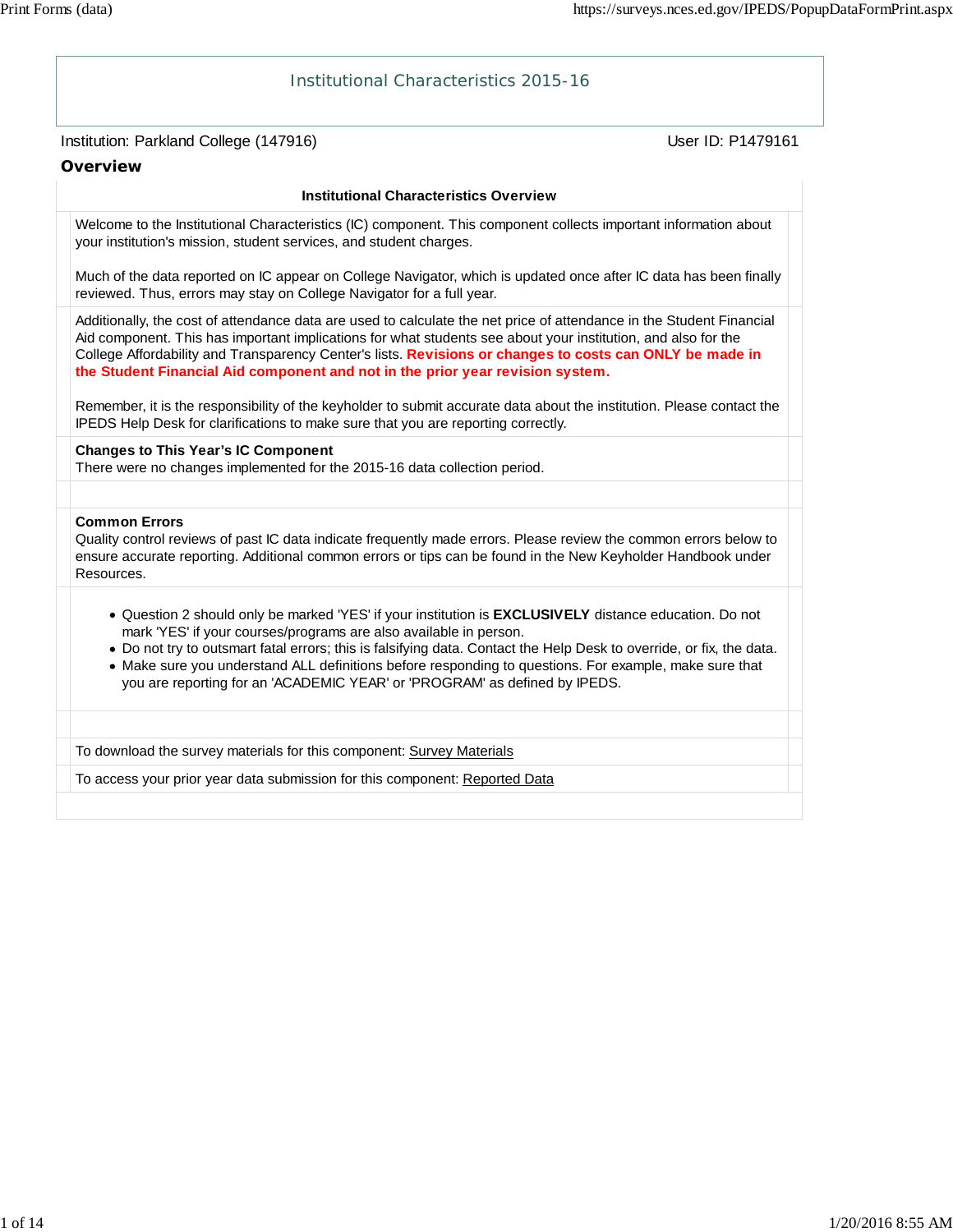# Institution: Parkland College (147916) November 2012 12: Physics User ID: P1479161 Institutional Characteristics 2015-16 **Overview Institutional Characteristics Overview** Welcome to the Institutional Characteristics (IC) component. This component collects important information about your institution's mission, student services, and student charges. Much of the data reported on IC appear on College Navigator, which is updated once after IC data has been finally reviewed. Thus, errors may stay on College Navigator for a full year. Additionally, the cost of attendance data are used to calculate the net price of attendance in the Student Financial Aid component. This has important implications for what students see about your institution, and also for the College Affordability and Transparency Center's lists. **Revisions or changes to costs can ONLY be made in the Student Financial Aid component and not in the prior year revision system.** Remember, it is the responsibility of the keyholder to submit accurate data about the institution. Please contact the IPEDS Help Desk for clarifications to make sure that you are reporting correctly. **Changes to This Year's IC Component** There were no changes implemented for the 2015-16 data collection period. **Common Errors** Quality control reviews of past IC data indicate frequently made errors. Please review the common errors below to ensure accurate reporting. Additional common errors or tips can be found in the New Keyholder Handbook under Resources. Question 2 should only be marked 'YES' if your institution is **EXCLUSIVELY** distance education. Do not mark 'YES' if your courses/programs are also available in person. Do not try to outsmart fatal errors; this is falsifying data. Contact the Help Desk to override, or fix, the data. Make sure you understand ALL definitions before responding to questions. For example, make sure that you are reporting for an 'ACADEMIC YEAR' or 'PROGRAM' as defined by IPEDS. To download the survey materials for this component: Survey Materials To access your prior year data submission for this component: Reported Data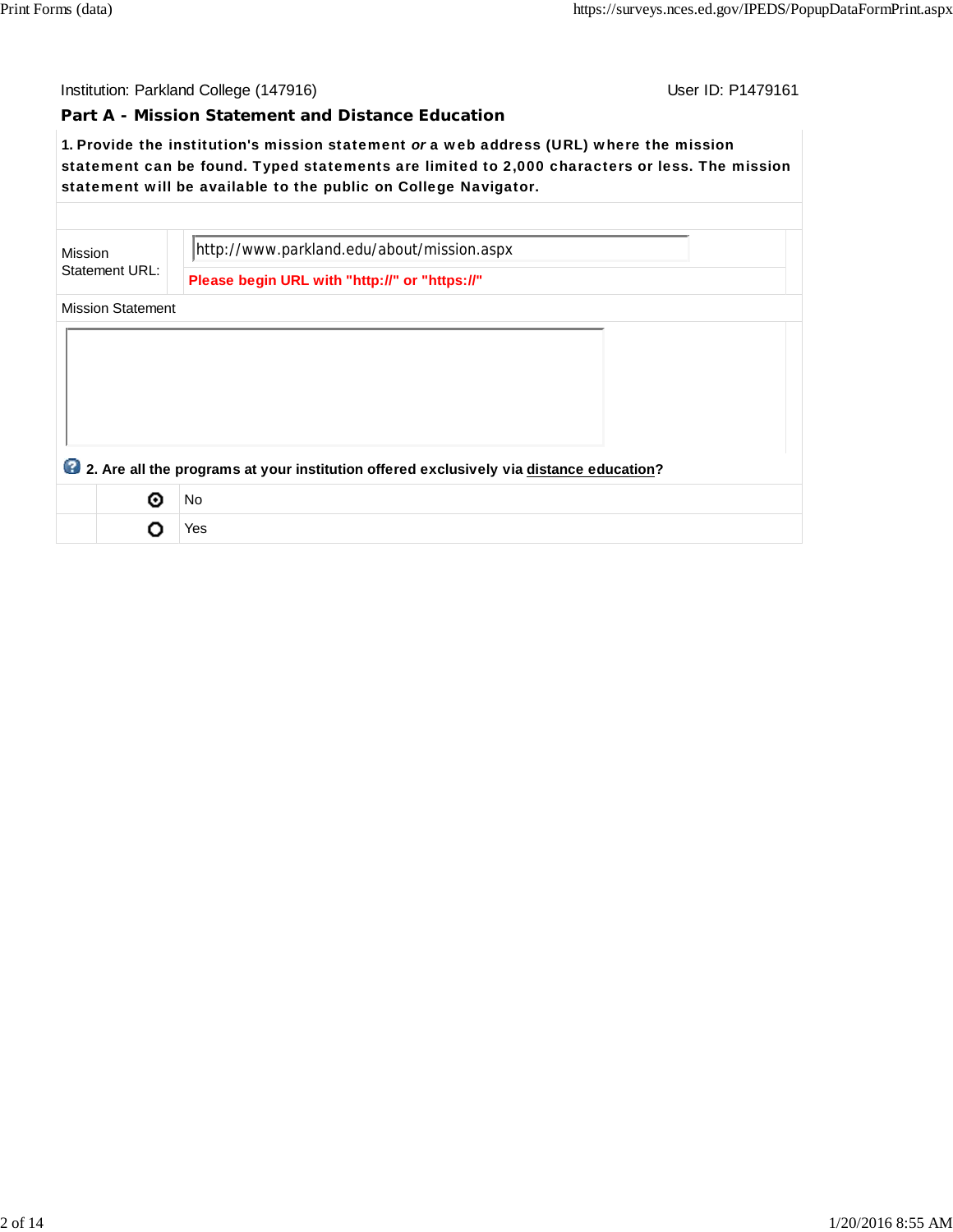### **Part A - Mission Statement and Distance Education**

**1.** Provide the institution's mission statement *or* a web address (URL) where the mission statement can be found. Typed statements are limited to 2,000 characters or less. The mission statement will be available to the public on College Navigator.

| Mission |                          | http://www.parkland.edu/about/mission.aspx                                              |
|---------|--------------------------|-----------------------------------------------------------------------------------------|
|         | Statement URL:           | Please begin URL with "http://" or "https://"                                           |
|         | <b>Mission Statement</b> |                                                                                         |
|         |                          |                                                                                         |
|         |                          |                                                                                         |
|         |                          |                                                                                         |
|         |                          |                                                                                         |
|         |                          |                                                                                         |
|         |                          | 2. Are all the programs at your institution offered exclusively via distance education? |
|         | の                        | <b>No</b>                                                                               |
|         |                          | Yes                                                                                     |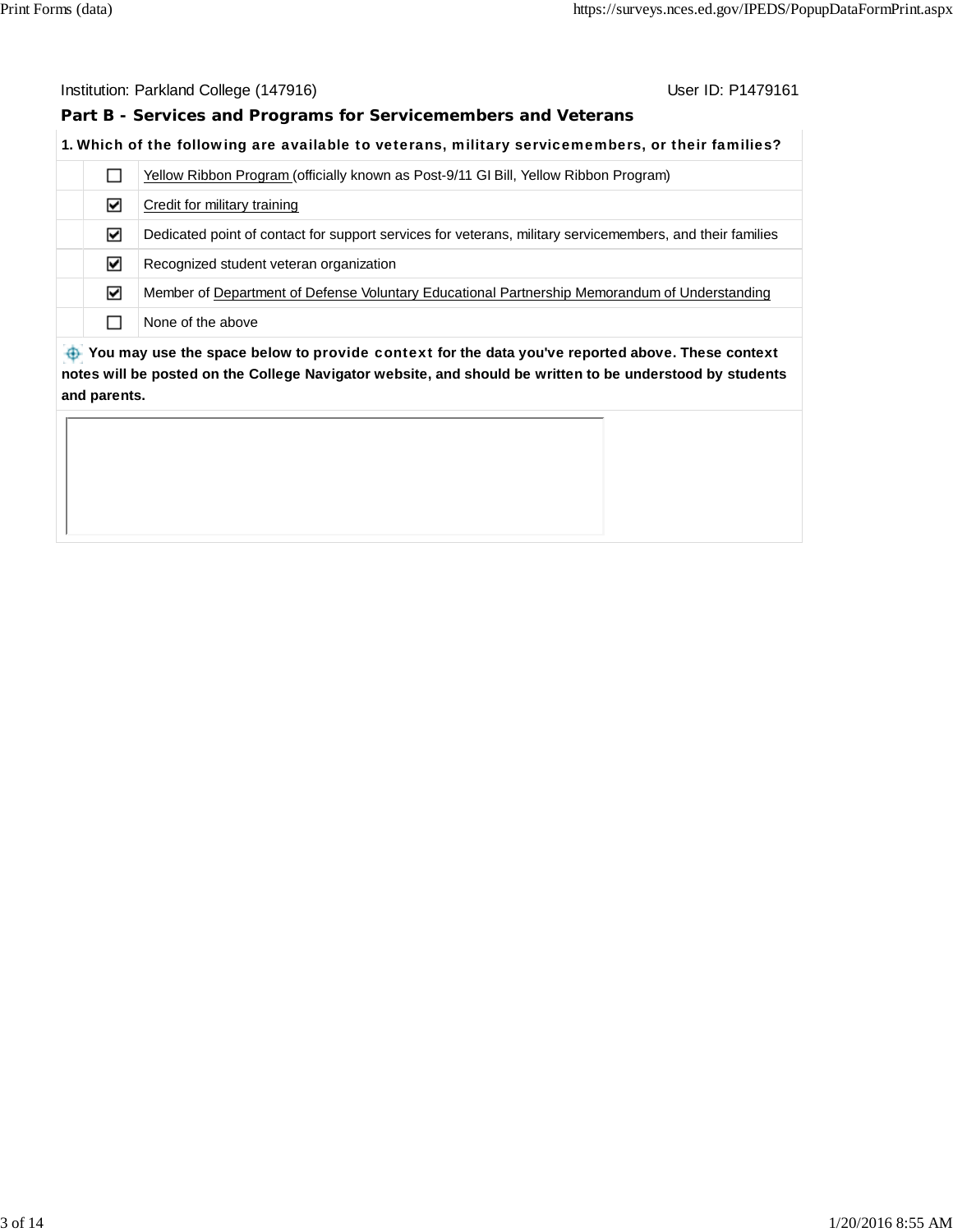**Part B - Services and Programs for Servicemembers and Veterans**

## **1.** Which of the following are available to veterans, military servicemembers, or their families?

|                                                                                                       | Yellow Ribbon Program (officially known as Post-9/11 GI Bill, Yellow Ribbon Program)                      |  |  |  |  |
|-------------------------------------------------------------------------------------------------------|-----------------------------------------------------------------------------------------------------------|--|--|--|--|
| ∨                                                                                                     | Credit for military training                                                                              |  |  |  |  |
| ☑                                                                                                     | Dedicated point of contact for support services for veterans, military servicemembers, and their families |  |  |  |  |
| ⊽                                                                                                     | Recognized student veteran organization                                                                   |  |  |  |  |
| ☑                                                                                                     | Member of Department of Defense Voluntary Educational Partnership Memorandum of Understanding             |  |  |  |  |
|                                                                                                       | None of the above                                                                                         |  |  |  |  |
| the Vau mou use the crease below to provide context for the date veulus reported shows. These context |                                                                                                           |  |  |  |  |

 **You may use the space below to** provide context **for the data you've reported above. These context notes will be posted on the College Navigator website, and should be written to be understood by students and parents.**

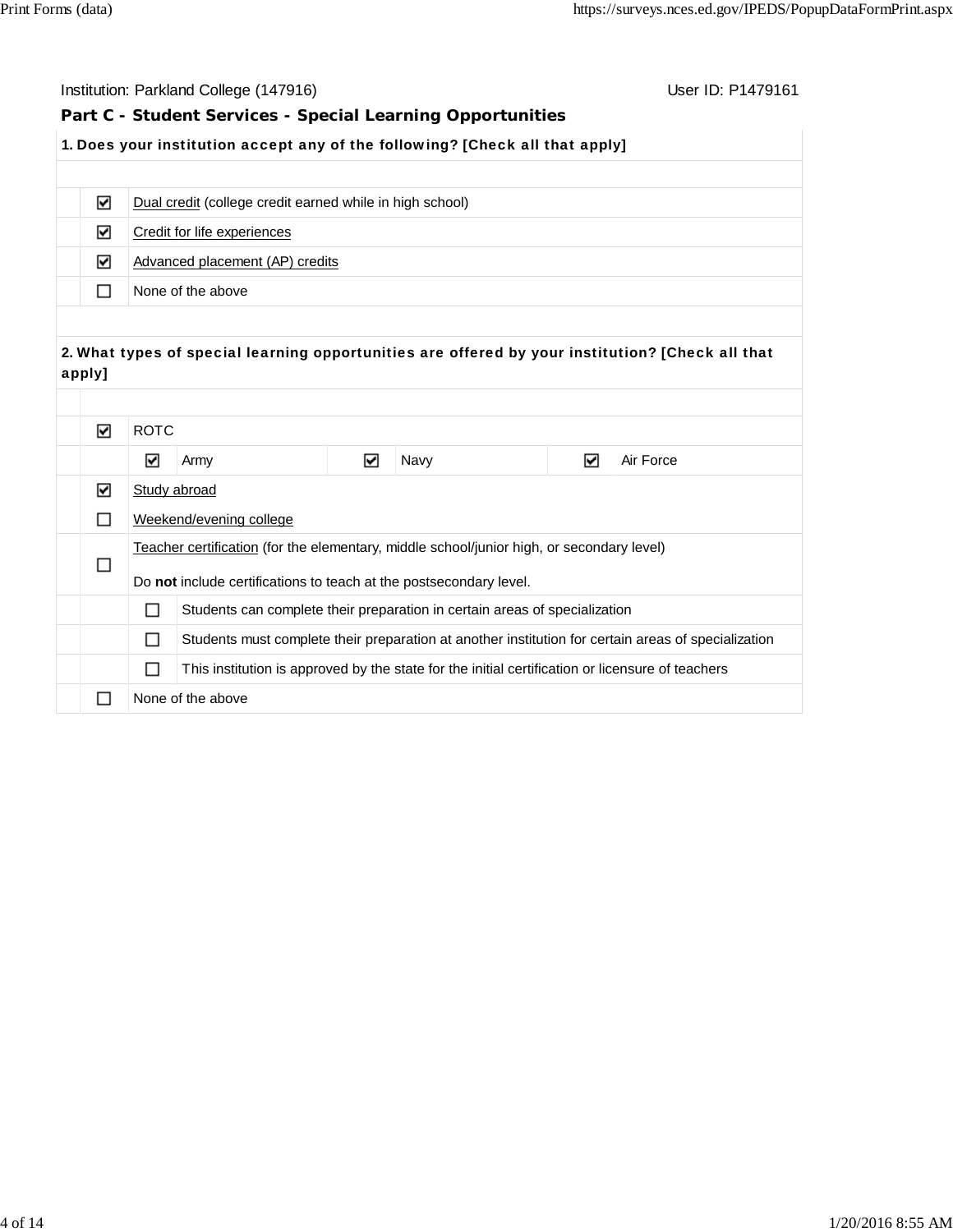| Institution: Parkland College (147916)<br>User ID: P1479161                               |                                                                                 |                                                          |  |                                                                                                  |  |                                                                                                     |
|-------------------------------------------------------------------------------------------|---------------------------------------------------------------------------------|----------------------------------------------------------|--|--------------------------------------------------------------------------------------------------|--|-----------------------------------------------------------------------------------------------------|
| Part C - Student Services - Special Learning Opportunities                                |                                                                                 |                                                          |  |                                                                                                  |  |                                                                                                     |
|                                                                                           |                                                                                 |                                                          |  | 1. Does your institution accept any of the following? [Check all that apply]                     |  |                                                                                                     |
|                                                                                           |                                                                                 |                                                          |  |                                                                                                  |  |                                                                                                     |
| ☑                                                                                         |                                                                                 | Dual credit (college credit earned while in high school) |  |                                                                                                  |  |                                                                                                     |
| ☑                                                                                         |                                                                                 | Credit for life experiences                              |  |                                                                                                  |  |                                                                                                     |
| ☑                                                                                         |                                                                                 | Advanced placement (AP) credits                          |  |                                                                                                  |  |                                                                                                     |
| □                                                                                         |                                                                                 | None of the above                                        |  |                                                                                                  |  |                                                                                                     |
|                                                                                           |                                                                                 |                                                          |  |                                                                                                  |  |                                                                                                     |
|                                                                                           |                                                                                 |                                                          |  |                                                                                                  |  | 2. What types of special learning opportunities are offered by your institution? [Check all that    |
| apply]                                                                                    |                                                                                 |                                                          |  |                                                                                                  |  |                                                                                                     |
|                                                                                           |                                                                                 |                                                          |  |                                                                                                  |  |                                                                                                     |
| ☑                                                                                         | <b>ROTC</b>                                                                     |                                                          |  |                                                                                                  |  |                                                                                                     |
|                                                                                           | $\blacktriangledown$                                                            | ☑<br>☑<br>Air Force<br>Navy<br>Army                      |  |                                                                                                  |  |                                                                                                     |
| ☑                                                                                         | Study abroad                                                                    |                                                          |  |                                                                                                  |  |                                                                                                     |
| □                                                                                         |                                                                                 | Weekend/evening college                                  |  |                                                                                                  |  |                                                                                                     |
| Teacher certification (for the elementary, middle school/junior high, or secondary level) |                                                                                 |                                                          |  |                                                                                                  |  |                                                                                                     |
| □                                                                                         | Do not include certifications to teach at the postsecondary level.              |                                                          |  |                                                                                                  |  |                                                                                                     |
|                                                                                           | П<br>Students can complete their preparation in certain areas of specialization |                                                          |  |                                                                                                  |  |                                                                                                     |
|                                                                                           | П                                                                               |                                                          |  |                                                                                                  |  | Students must complete their preparation at another institution for certain areas of specialization |
|                                                                                           | П                                                                               |                                                          |  | This institution is approved by the state for the initial certification or licensure of teachers |  |                                                                                                     |
| $\Box$                                                                                    |                                                                                 | None of the above                                        |  |                                                                                                  |  |                                                                                                     |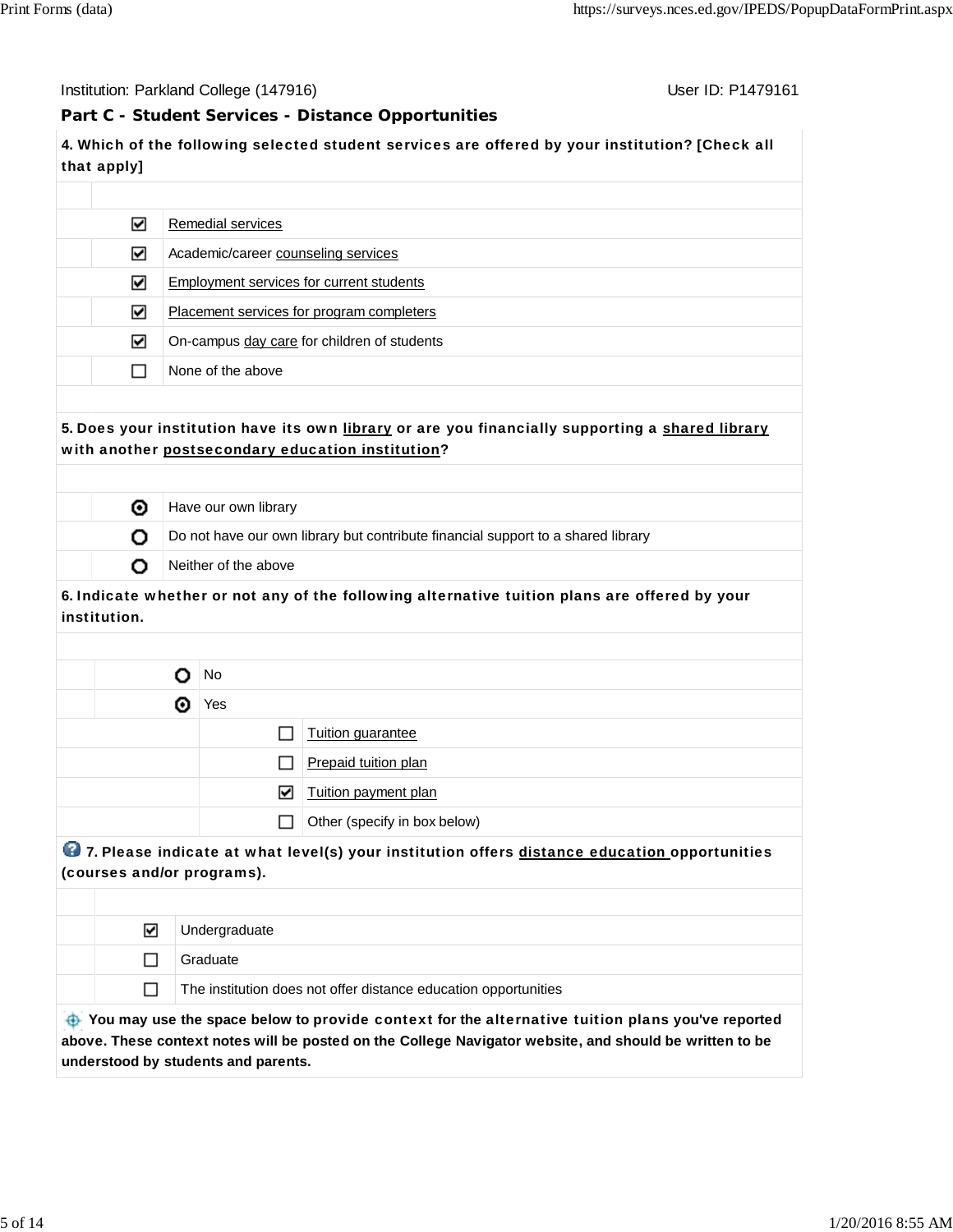Institution: Parkland College (147916) November 2012 12: P1479161

## **Part C - Student Services - Distance Opportunities**

**4.** Which of the following selected student services are offered by your institution? [Check all that apply]

| ☑ | Remedial services                           |
|---|---------------------------------------------|
| ⊻ | Academic/career counseling services         |
| ☑ | Employment services for current students    |
| ☑ | Placement services for program completers   |
| ☑ | On-campus day care for children of students |
|   | None of the above                           |
|   |                                             |

# **5.** Does your institution have its own library or are you financially supporting a shared library with another postsecondary education institution?

| ⊙ | Have our own library                                                             |
|---|----------------------------------------------------------------------------------|
|   | Do not have our own library but contribute financial support to a shared library |
|   | Neither of the above                                                             |

# **6.** Indicate whether or not any of the following alternative tuition plans are offered by your institution.

|   | No                       |                              |  |
|---|--------------------------|------------------------------|--|
| ⊙ | Yes                      |                              |  |
|   |                          | Tuition guarantee            |  |
|   | ı ı                      | Prepaid tuition plan         |  |
|   | 罓                        | Tuition payment plan         |  |
|   | $\overline{\phantom{a}}$ | Other (specify in box below) |  |
|   |                          |                              |  |

# **<sup>1</sup>2** 7. Please indicate at what level(s) your institution offers distance education opportunities (courses and/or programs).

| ⊽ | Undergraduate                                                   |
|---|-----------------------------------------------------------------|
|   | Graduate                                                        |
|   | The institution does not offer distance education opportunities |
|   |                                                                 |

 **You may use the space below to** provide context **for the** alternative tuition plans **you've reported above. These context notes will be posted on the College Navigator website, and should be written to be understood by students and parents.**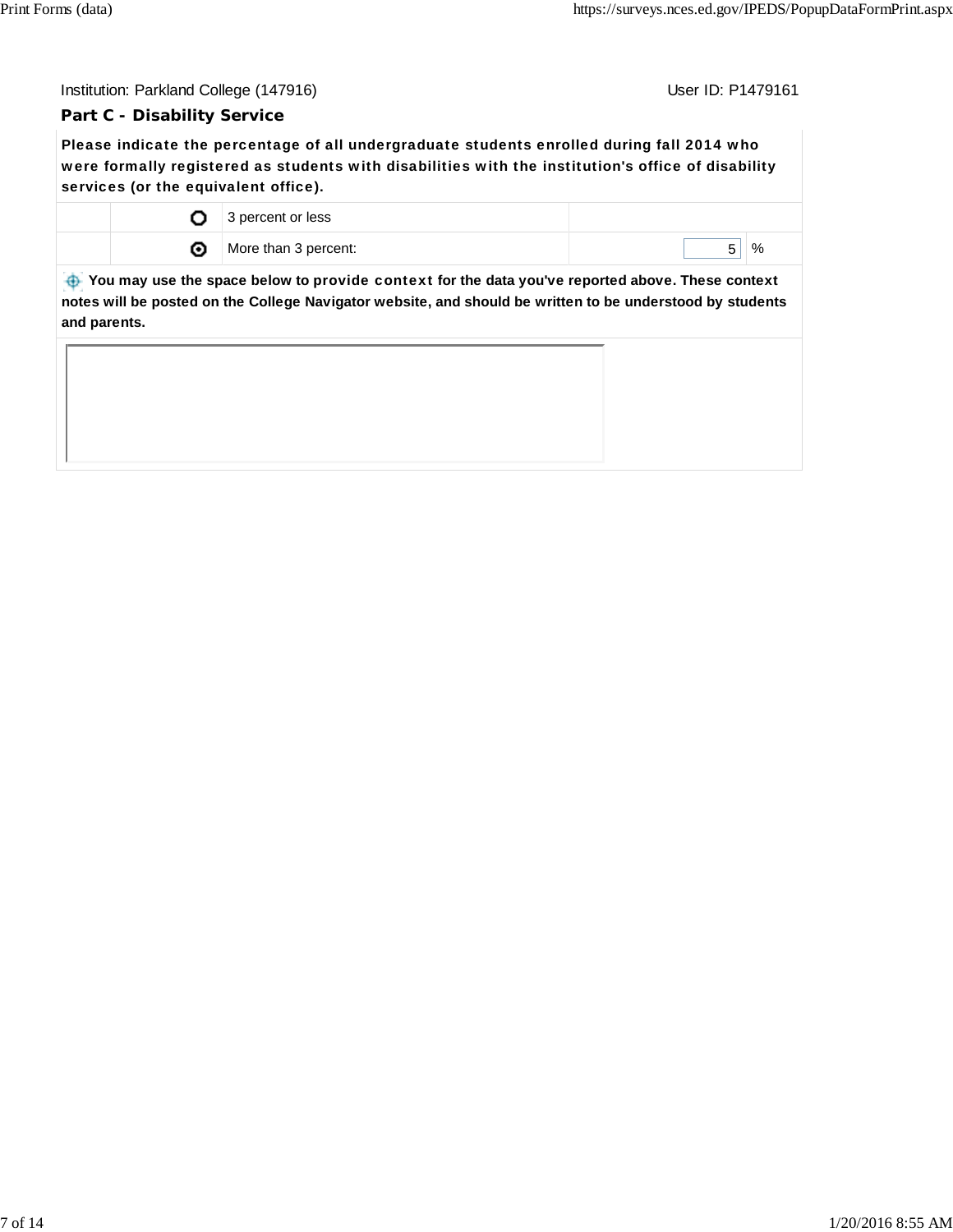## **Part C - Disability Service**

Please indicate the percentage of all undergraduate students enrolled during fall 2014 who were formally registered as students with disabilities with the institution's office of disability services (or the equivalent office).

|  | 3 percent or less    |   |
|--|----------------------|---|
|  | More than 3 percent: | % |

 **You may use the space below to** provide context **for the data you've reported above. These context notes will be posted on the College Navigator website, and should be written to be understood by students and parents.**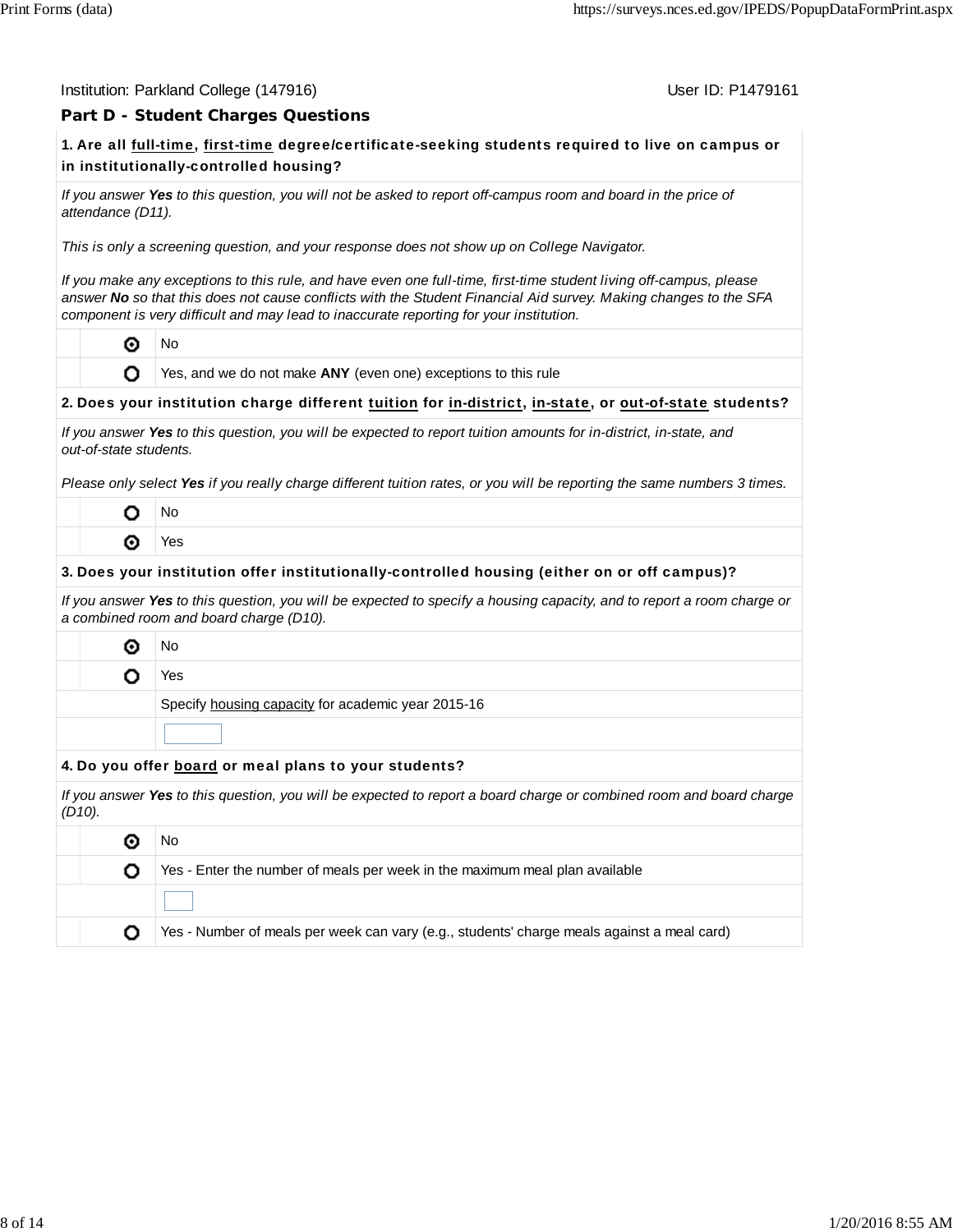#### Institution: Parkland College (147916) November 2012 12: P1479161

# **Part D - Student Charges Questions**

# **1.** Are all full-time, first-time degree/certificate-seeking students required to live on campus or in institutionally-controlled housing?

*If you answer Yes to this question, you will not be asked to report off-campus room and board in the price of attendance (D11).*

*This is only a screening question, and your response does not show up on College Navigator.*

*If you make any exceptions to this rule, and have even one full-time, first-time student living off-campus, please answer No so that this does not cause conflicts with the Student Financial Aid survey. Making changes to the SFA component is very difficult and may lead to inaccurate reporting for your institution.*

⊙ No

O

Yes, and we do not make **ANY** (even one) exceptions to this rule

#### **2.** Does your institution charge different tuition for in-district, in-state, or out-of-state students?

| If you answer Yes to this question, you will be expected to report tuition amounts for in-district, in-state, and |  |
|-------------------------------------------------------------------------------------------------------------------|--|
| out-of-state students.                                                                                            |  |

*Please only select Yes if you really charge different tuition rates, or you will be reporting the same numbers 3 times.*

| Ιŋ |
|----|
| ٩S |

#### **3.** Does your institution offer institutionally-controlled housing (either on or off campus)?

*If you answer Yes to this question, you will be expected to specify a housing capacity, and to report a room charge or a combined room and board charge (D10).*

◉ No

o

Yes

Specify housing capacity for academic year 2015-16

#### **4.** Do you offer board or meal plans to your students?

*If you answer Yes to this question, you will be expected to report a board charge or combined room and board charge (D10).*

|  | Νo                                                                                         |  |  |
|--|--------------------------------------------------------------------------------------------|--|--|
|  | Yes - Enter the number of meals per week in the maximum meal plan available                |  |  |
|  |                                                                                            |  |  |
|  | Yes - Number of meals per week can vary (e.g., students' charge meals against a meal card) |  |  |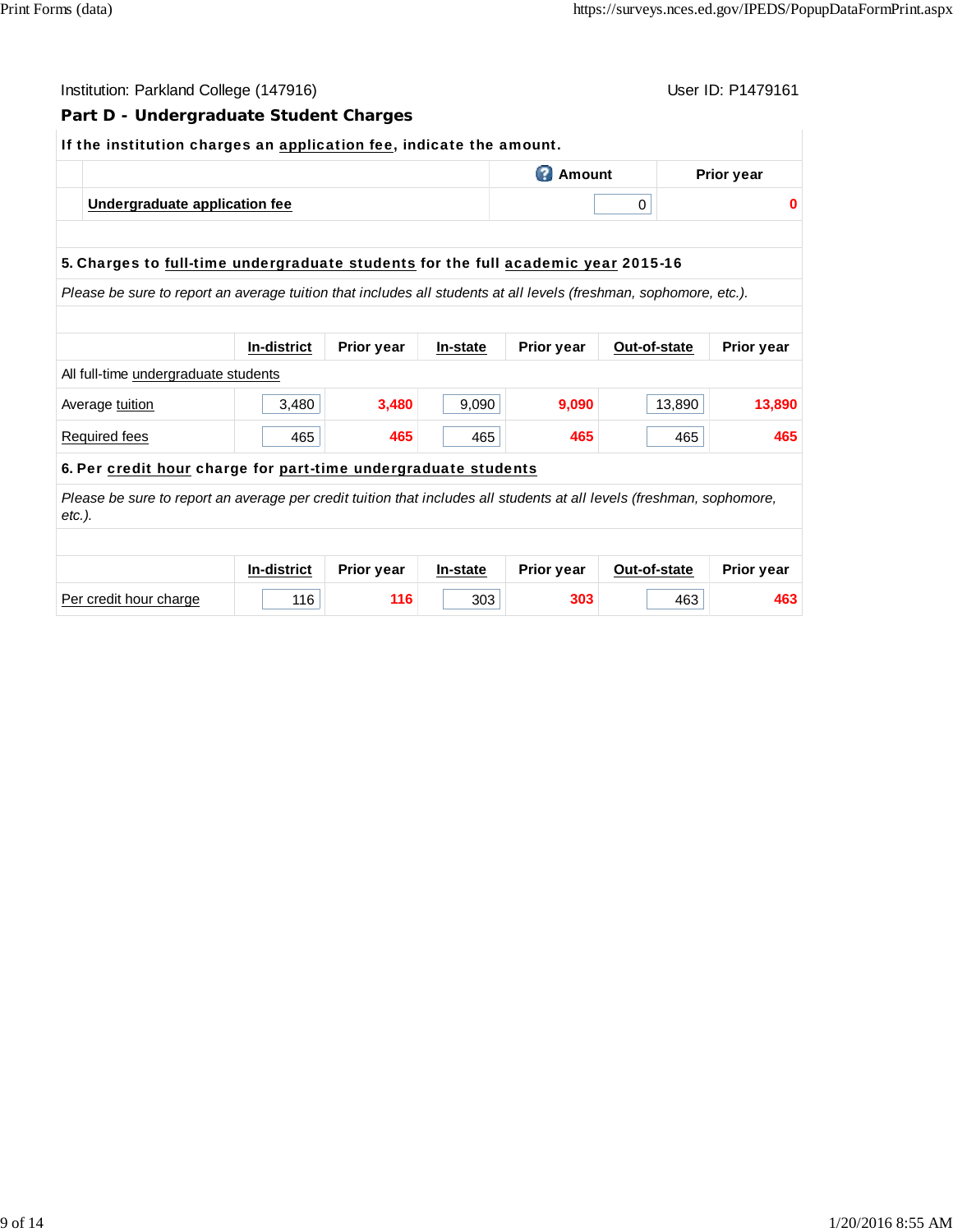| Institution: Parkland College (147916)                                                                                             |                    |            |          |                   |              | User ID: P1479161 |  |  |
|------------------------------------------------------------------------------------------------------------------------------------|--------------------|------------|----------|-------------------|--------------|-------------------|--|--|
| Part D - Undergraduate Student Charges                                                                                             |                    |            |          |                   |              |                   |  |  |
| If the institution charges an application fee, indicate the amount.                                                                |                    |            |          |                   |              |                   |  |  |
| <b>2</b> Amount                                                                                                                    |                    |            |          |                   |              | <b>Prior year</b> |  |  |
| Undergraduate application fee                                                                                                      |                    |            | 0        | $\bf{0}$          |              |                   |  |  |
|                                                                                                                                    |                    |            |          |                   |              |                   |  |  |
| 5. Charges to full-time undergraduate students for the full academic year 2015-16                                                  |                    |            |          |                   |              |                   |  |  |
| Please be sure to report an average tuition that includes all students at all levels (freshman, sophomore, etc.).                  |                    |            |          |                   |              |                   |  |  |
|                                                                                                                                    |                    |            |          |                   |              |                   |  |  |
|                                                                                                                                    | <b>In-district</b> | Prior year | In-state | <b>Prior year</b> | Out-of-state | <b>Prior year</b> |  |  |
| All full-time undergraduate students                                                                                               |                    |            |          |                   |              |                   |  |  |
| Average tuition                                                                                                                    | 3,480              | 3,480      | 9,090    | 9,090             | 13,890       | 13,890            |  |  |
| Required fees                                                                                                                      | 465                | 465        | 465      | 465               | 465          | 465               |  |  |
| 6. Per credit hour charge for part-time undergraduate students                                                                     |                    |            |          |                   |              |                   |  |  |
| Please be sure to report an average per credit tuition that includes all students at all levels (freshman, sophomore,<br>$etc.$ ). |                    |            |          |                   |              |                   |  |  |
|                                                                                                                                    |                    |            |          |                   |              |                   |  |  |
|                                                                                                                                    | In-district        | Prior year | In-state | Prior year        | Out-of-state | <b>Prior year</b> |  |  |
| Per credit hour charge                                                                                                             | 116                | 116        | 303      | 303               | 463          | 463               |  |  |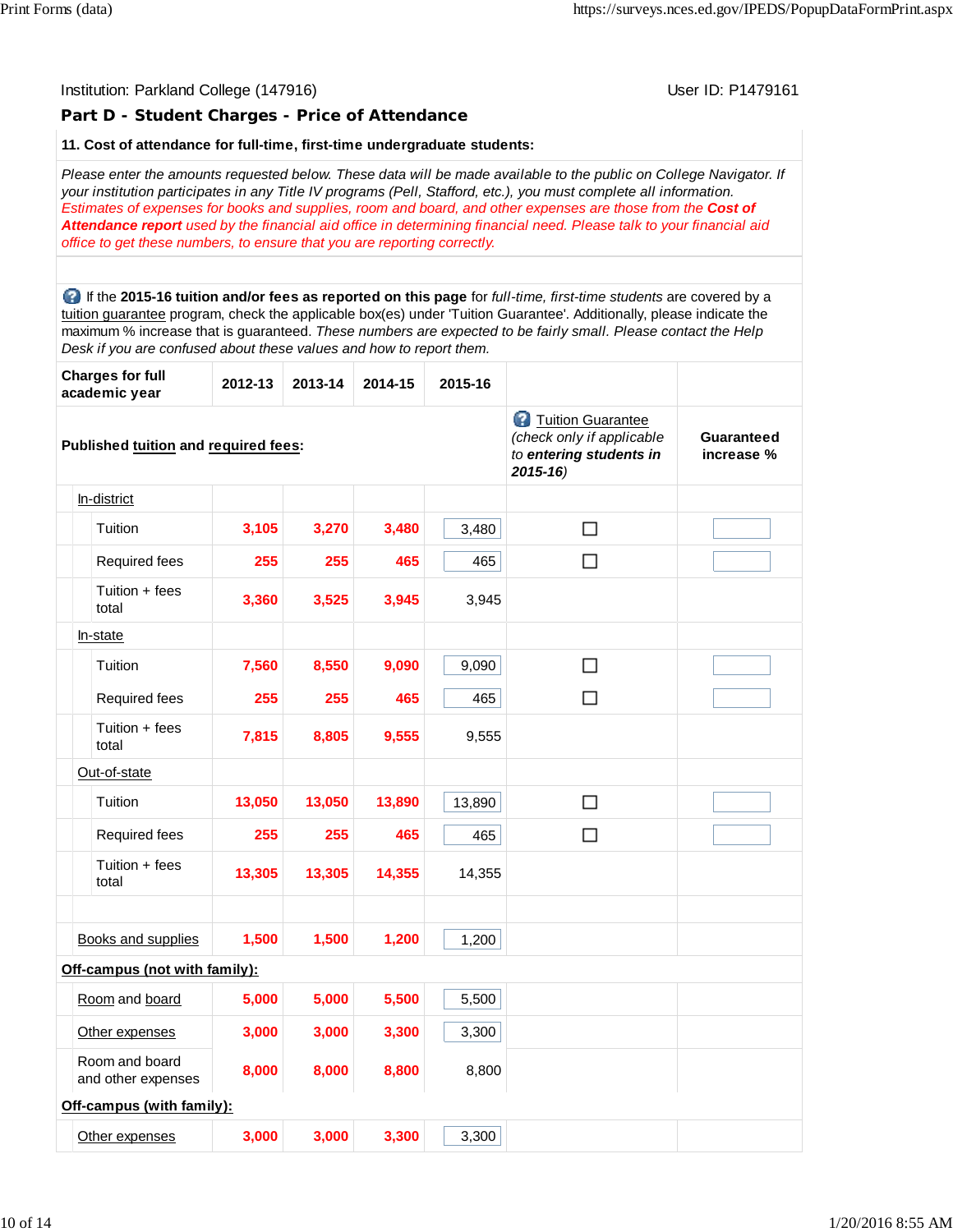# Institution: Parkland College (147916) November 2012 12: P1479161 **Part D - Student Charges - Price of Attendance 11. Cost of attendance for full-time, first-time undergraduate students:** *Please enter the amounts requested below. These data will be made available to the public on College Navigator. If your institution participates in any Title IV programs (Pell, Stafford, etc.), you must complete all information. Estimates of expenses for books and supplies, room and board, and other expenses are those from the Cost of Attendance report used by the financial aid office in determining financial need. Please talk to your financial aid office to get these numbers, to ensure that you are reporting correctly.* If the **2015-16 tuition and/or fees as reported on this page** for *full-time, first-time students* are covered by a tuition guarantee program, check the applicable box(es) under 'Tuition Guarantee'. Additionally, please indicate the maximum % increase that is guaranteed. *These numbers are expected to be fairly small. Please contact the Help Desk if you are confused about these values and how to report them.* **Charges for full academic year 2012-13 2013-14 2014-15 2015-16 Tuition Guarantee** *(check only if applicable* **Guaranteed Published tuition and required fees:** *to entering students in* **increase %** *2015-16)* In-district  $\Box$ Tuition **3,105 3,270 3,480** 3,480 Required fees **255 255 465** 465  $\Box$ Tuition + fees total **3,360 3,525 3,945** 3,945 In-state  $\Box$ Tuition **7,560 8,550 9,090** 9,090 Required fees **255 255 465** 465  $\Box$ Tuition + fees total **7,815 8,805 9,555** 9,555 Out-of-state Tuition **13,050 13,050 13,890** 13,890  $\Box$ Required fees **255 255 465** 465  $\Box$ Tuition + fees total **13,305 13,305 14,355** 14,355 Books and supplies **1,500 1,500 1,200** 1,200 **Off-campus (not with family):** Room and board **5,000 5,000 5,500** 5,500 Other expenses **3,000 3,000 3,300** 3,300 Room and board and other expenses **8,000 8,000 8,800** 8,800 **Off-campus (with family):** Other expenses **3,000 3,000 3,300** 3,300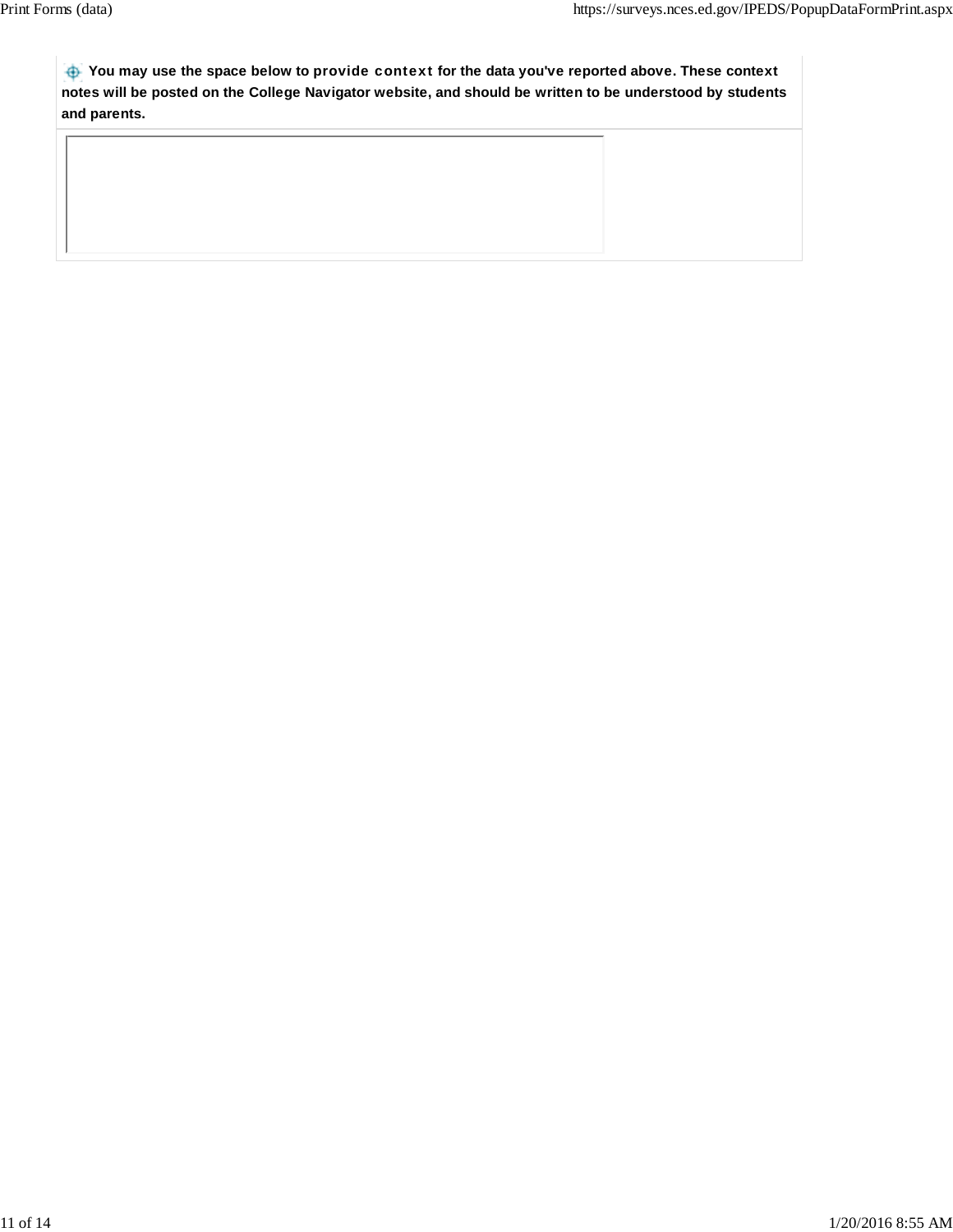**You may use the space below to** provide context **for the data you've reported above. These context notes will be posted on the College Navigator website, and should be written to be understood by students and parents.**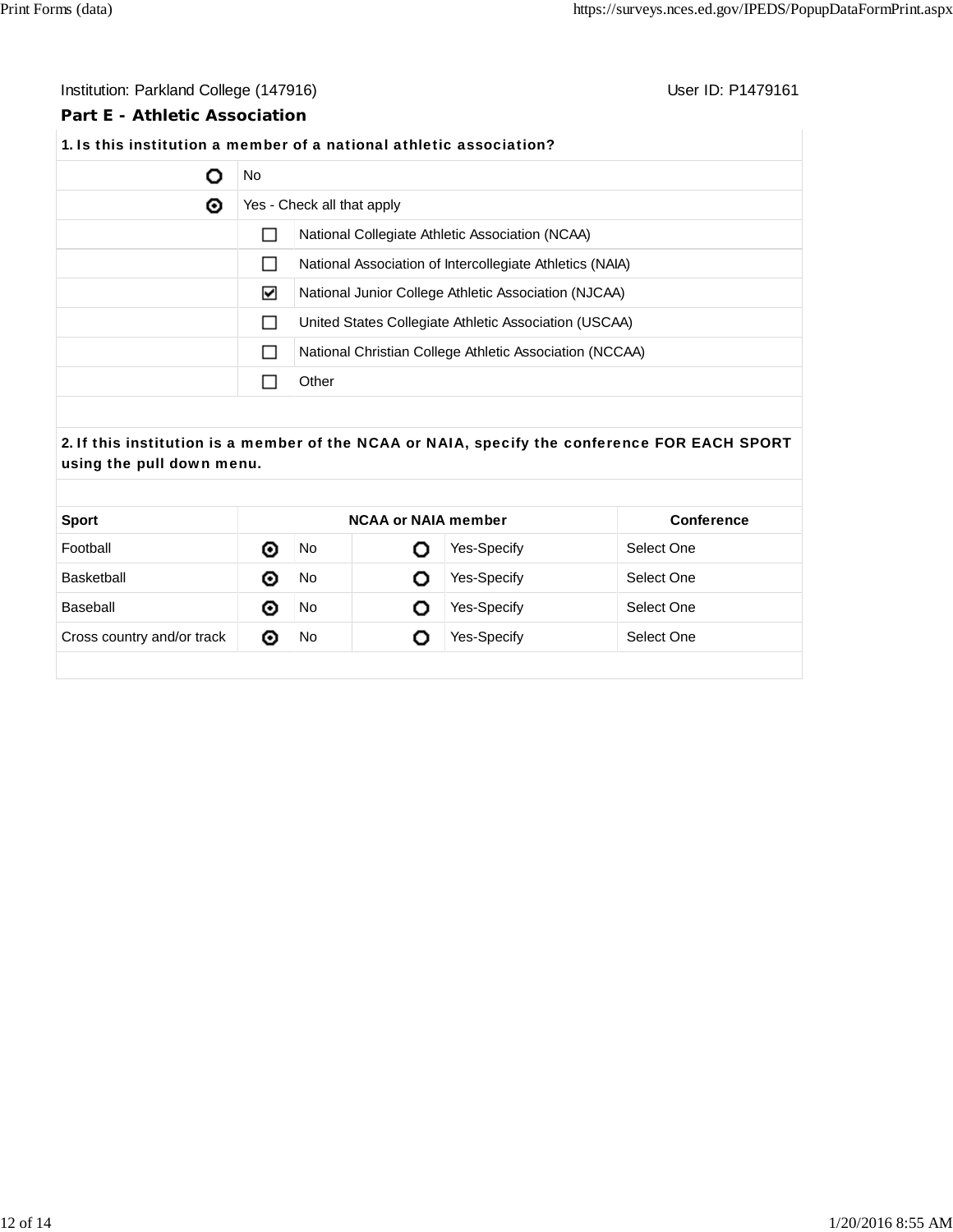# Institution: Parkland College (147916) **Institution: Parkland College (147916**)

# **Part E - Athletic Association**

# **1.** Is this institution a member of a national athletic association?

|   | No. |                                                          |  |  |
|---|-----|----------------------------------------------------------|--|--|
| ◉ |     | Yes - Check all that apply                               |  |  |
|   |     | National Collegiate Athletic Association (NCAA)          |  |  |
|   |     | National Association of Intercollegiate Athletics (NAIA) |  |  |
|   | ⊻   | National Junior College Athletic Association (NJCAA)     |  |  |
|   |     | United States Collegiate Athletic Association (USCAA)    |  |  |
|   |     | National Christian College Athletic Association (NCCAA)  |  |  |
|   |     | Other                                                    |  |  |

# **2.** If this institution is a member of the NCAA or NAIA, specify the conference FOR EACH SPORT using the pull down menu.

| <b>Sport</b>               | <b>NCAA or NAIA member</b> |     | Conference |                    |            |
|----------------------------|----------------------------|-----|------------|--------------------|------------|
| Football                   | ⊙                          | No  |            | Yes-Specify        | Select One |
| Basketball                 | ⊙                          | No  | O          | <b>Yes-Specify</b> | Select One |
| Baseball                   | ⊙                          | No  | O          | Yes-Specify        | Select One |
| Cross country and/or track | O                          | No. | O          | <b>Yes-Specify</b> | Select One |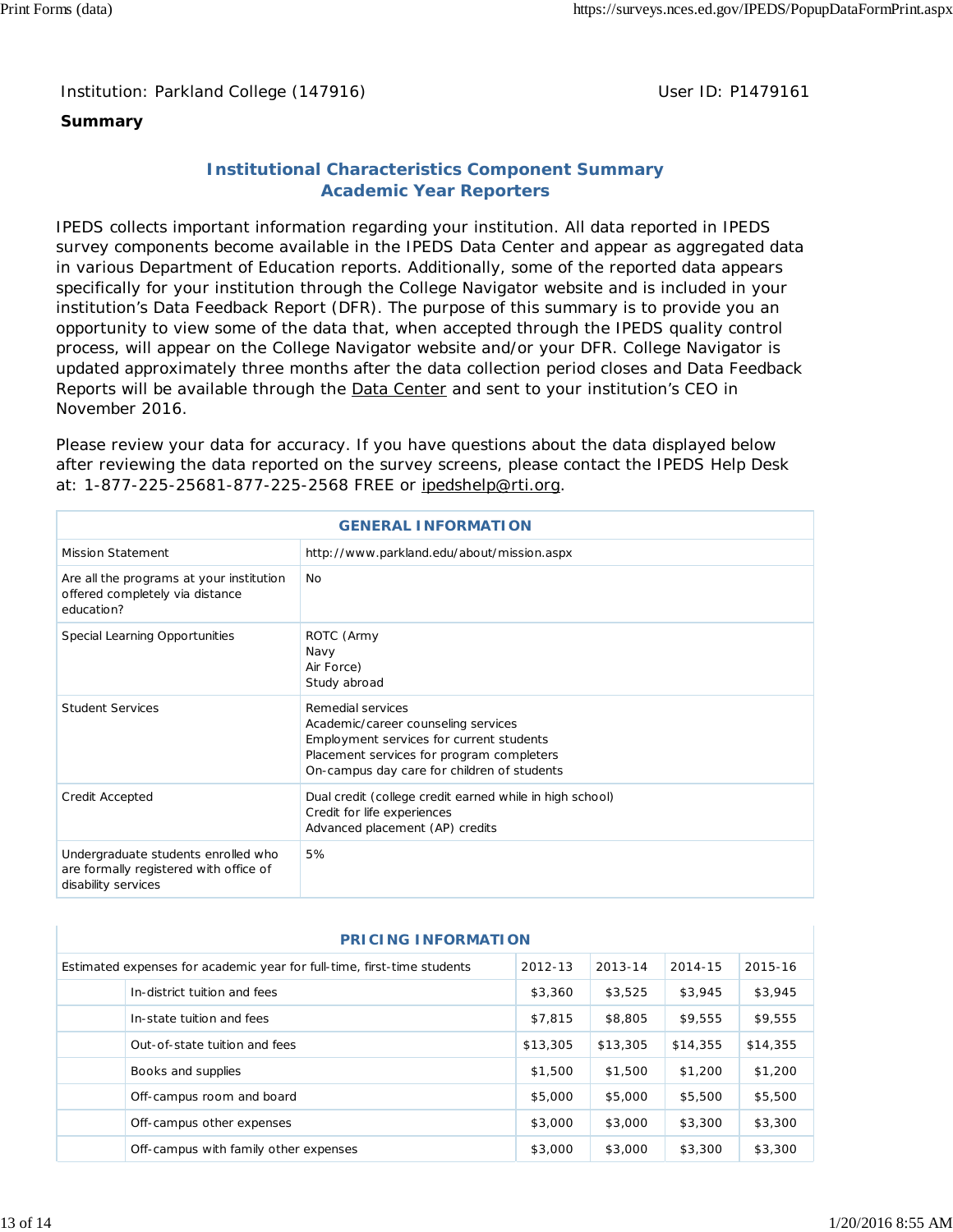# **Summary**

# **Institutional Characteristics Component Summary Academic Year Reporters**

IPEDS collects important information regarding your institution. All data reported in IPEDS survey components become available in the IPEDS Data Center and appear as aggregated data in various Department of Education reports. Additionally, some of the reported data appears specifically for your institution through the College Navigator website and is included in your institution's Data Feedback Report (DFR). The purpose of this summary is to provide you an opportunity to view some of the data that, when accepted through the IPEDS quality control process, will appear on the College Navigator website and/or your DFR. College Navigator is updated approximately three months after the data collection period closes and Data Feedback Reports will be available through the Data Center and sent to your institution's CEO in November 2016.

Please review your data for accuracy. If you have questions about the data displayed below after reviewing the data reported on the survey screens, please contact the IPEDS Help Desk at: 1-877-225-25681-877-225-2568 FREE or ipedshelp@rti.org.

| <b>GENERAL INFORMATION</b>                                                                           |                                                                                                                                                                                                  |  |  |
|------------------------------------------------------------------------------------------------------|--------------------------------------------------------------------------------------------------------------------------------------------------------------------------------------------------|--|--|
| <b>Mission Statement</b>                                                                             | http://www.parkland.edu/about/mission.aspx                                                                                                                                                       |  |  |
| Are all the programs at your institution<br>offered completely via distance<br>education?            | No.                                                                                                                                                                                              |  |  |
| Special Learning Opportunities                                                                       | ROTC (Army<br>Navy<br>Air Force)<br>Study abroad                                                                                                                                                 |  |  |
| <b>Student Services</b>                                                                              | Remedial services<br>Academic/career counseling services<br>Employment services for current students<br>Placement services for program completers<br>On-campus day care for children of students |  |  |
| Credit Accepted                                                                                      | Dual credit (college credit earned while in high school)<br>Credit for life experiences<br>Advanced placement (AP) credits                                                                       |  |  |
| Undergraduate students enrolled who<br>are formally registered with office of<br>disability services | 5%                                                                                                                                                                                               |  |  |

| <b>PRICING INFORMATION</b>                                              |                                       |          |          |          |          |  |
|-------------------------------------------------------------------------|---------------------------------------|----------|----------|----------|----------|--|
| Estimated expenses for academic year for full-time, first-time students |                                       |          | 2013-14  | 2014-15  | 2015-16  |  |
|                                                                         | In-district tuition and fees          | \$3,360  | \$3,525  | \$3,945  | \$3,945  |  |
|                                                                         | In-state tuition and fees             | \$7,815  | \$8,805  | \$9,555  | \$9,555  |  |
|                                                                         | Out-of-state tuition and fees         | \$13,305 | \$13,305 | \$14,355 | \$14,355 |  |
|                                                                         | Books and supplies                    | \$1,500  | \$1,500  | \$1,200  | \$1,200  |  |
|                                                                         | Off-campus room and board             | \$5,000  | \$5,000  | \$5,500  | \$5,500  |  |
|                                                                         | Off-campus other expenses             | \$3,000  | \$3,000  | \$3,300  | \$3,300  |  |
|                                                                         | Off-campus with family other expenses | \$3,000  | \$3,000  | \$3,300  | \$3,300  |  |